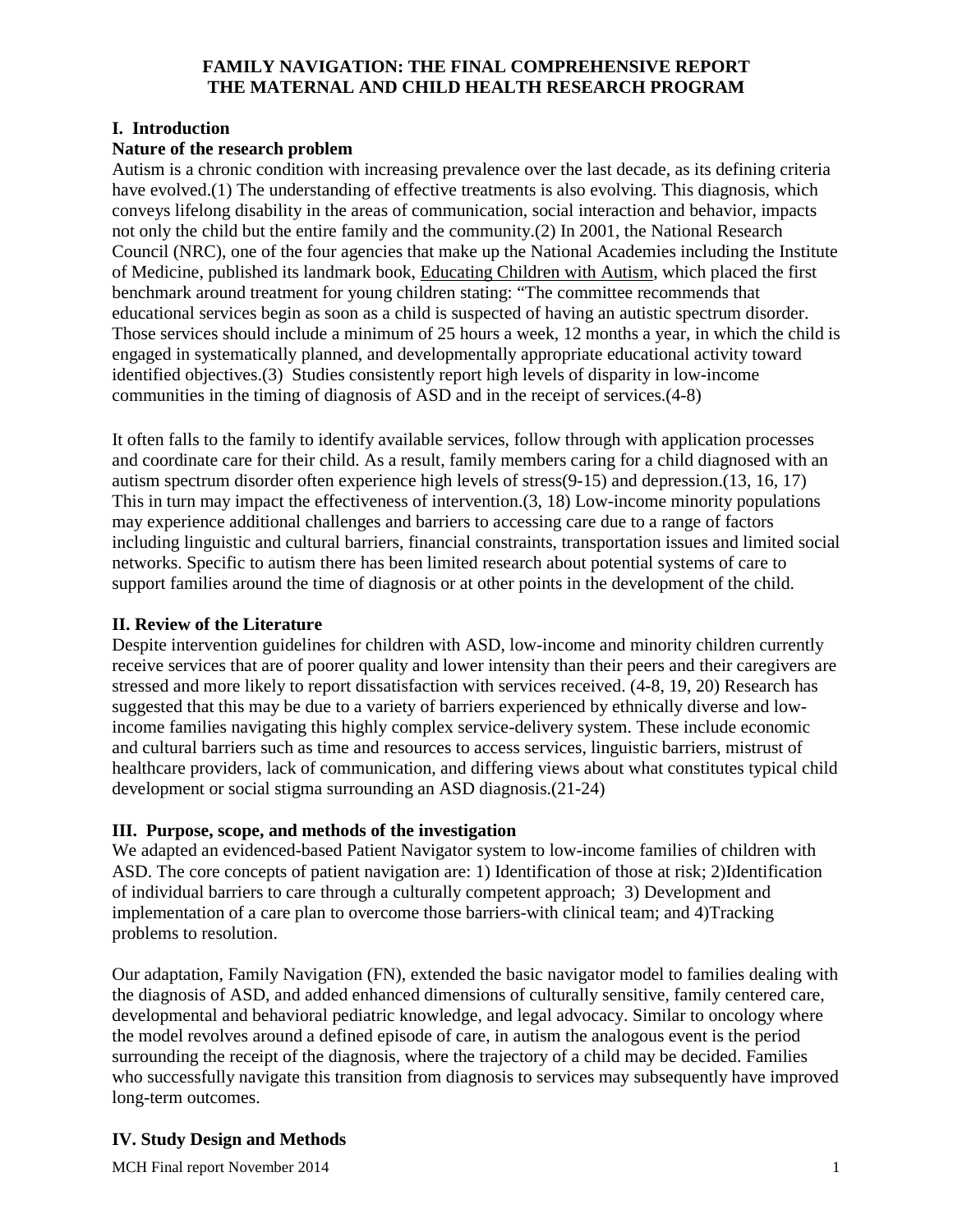## **FAMILY NAVIGATION: THE FINAL COMPREHENSIVE REPORT THE MATERNAL AND CHILD HEALTH RESEARCH PROGRAM**

## **I. Introduction**

## **Nature of the research problem**

Autism is a chronic condition with increasing prevalence over the last decade, as its defining criteria have evolved.[\(1\)](#page-9-0) The understanding of effective treatments is also evolving. This diagnosis, which conveys lifelong disability in the areas of communication, social interaction and behavior, impacts not only the child but the entire family and the community.[\(2\)](#page-9-1) In 2001, the National Research Council (NRC), one of the four agencies that make up the National Academies including the Institute of Medicine, published its landmark book, Educating Children with Autism, which placed the first benchmark around treatment for young children stating: "The committee recommends that educational services begin as soon as a child is suspected of having an autistic spectrum disorder. Those services should include a minimum of 25 hours a week, 12 months a year, in which the child is engaged in systematically planned, and developmentally appropriate educational activity toward identified objectives.[\(3\)](#page-9-2) Studies consistently report high levels of disparity in low-income communities in the timing of diagnosis of ASD and in the receipt of services.[\(4-8\)](#page-9-3)

It often falls to the family to identify available services, follow through with application processes and coordinate care for their child. As a result, family members caring for a child diagnosed with an autism spectrum disorder often experience high levels of stress[\(9-15\)](#page-9-4) and depression.[\(13,](#page-9-5) [16,](#page-9-6) [17\)](#page-9-7) This in turn may impact the effectiveness of intervention.[\(3,](#page-9-2) [18\)](#page-9-8) Low-income minority populations may experience additional challenges and barriers to accessing care due to a range of factors including linguistic and cultural barriers, financial constraints, transportation issues and limited social networks. Specific to autism there has been limited research about potential systems of care to support families around the time of diagnosis or at other points in the development of the child.

#### **II. Review of the Literature**

Despite intervention guidelines for children with ASD, low-income and minority children currently receive services that are of poorer quality and lower intensity than their peers and their caregivers are stressed and more likely to report dissatisfaction with services received. [\(4-8,](#page-9-3) [19,](#page-9-9) [20\)](#page-9-10) Research has suggested that this may be due to a variety of barriers experienced by ethnically diverse and lowincome families navigating this highly complex service-delivery system. These include economic and cultural barriers such as time and resources to access services, linguistic barriers, mistrust of healthcare providers, lack of communication, and differing views about what constitutes typical child development or social stigma surrounding an ASD diagnosis.[\(21-24\)](#page-9-11)

# **III. Purpose, scope, and methods of the investigation**

We adapted an evidenced-based Patient Navigator system to low-income families of children with ASD. The core concepts of patient navigation are: 1) Identification of those at risk; 2)Identification of individual barriers to care through a culturally competent approach; 3) Development and implementation of a care plan to overcome those barriers-with clinical team; and 4)Tracking problems to resolution.

Our adaptation, Family Navigation (FN), extended the basic navigator model to families dealing with the diagnosis of ASD, and added enhanced dimensions of culturally sensitive, family centered care, developmental and behavioral pediatric knowledge, and legal advocacy. Similar to oncology where the model revolves around a defined episode of care, in autism the analogous event is the period surrounding the receipt of the diagnosis, where the trajectory of a child may be decided. Families who successfully navigate this transition from diagnosis to services may subsequently have improved long-term outcomes.

# **IV. Study Design and Methods**

MCH Final report November 2014 1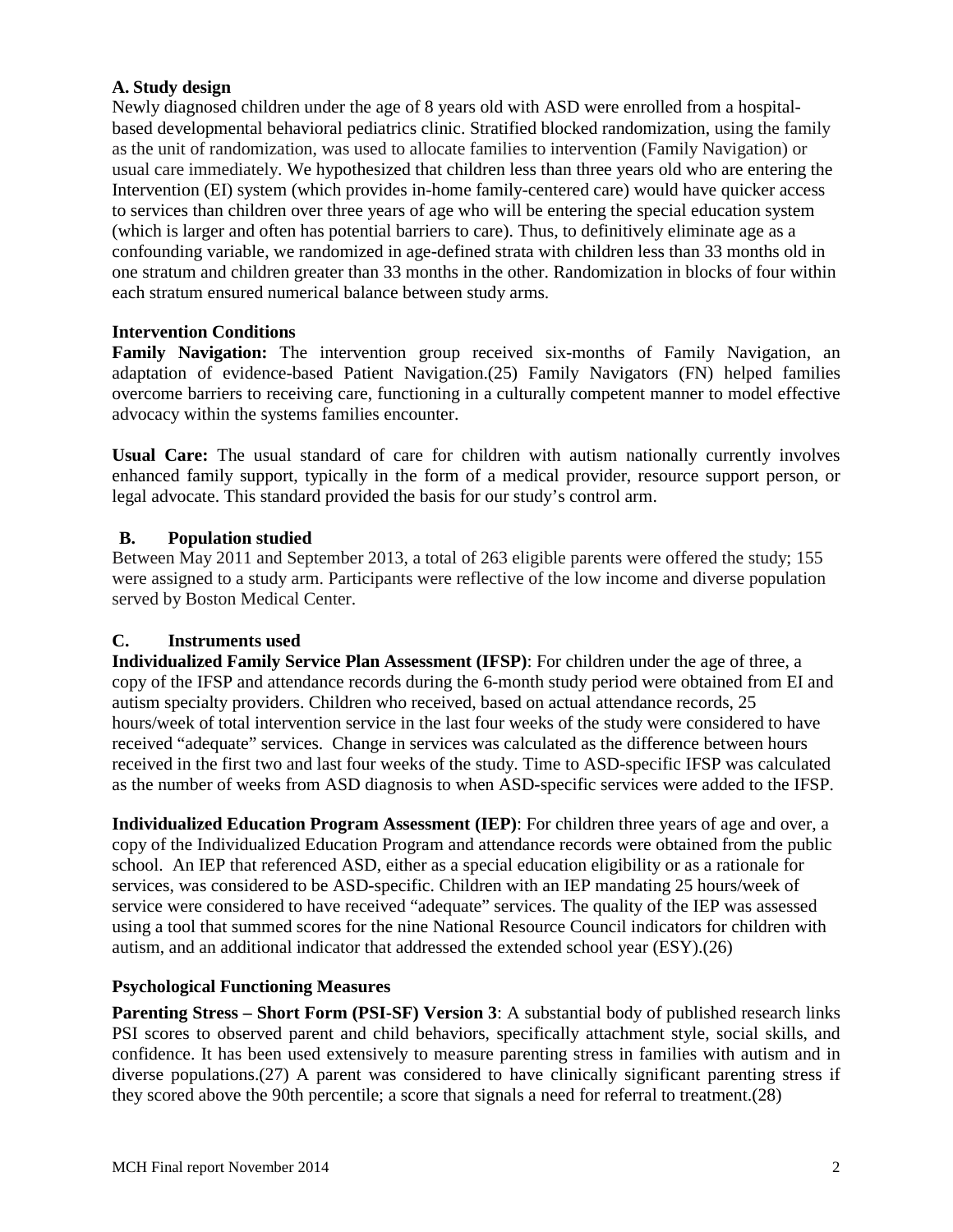#### **A. Study design**

Newly diagnosed children under the age of 8 years old with ASD were enrolled from a hospitalbased developmental behavioral pediatrics clinic. Stratified blocked randomization, using the family as the unit of randomization, was used to allocate families to intervention (Family Navigation) or usual care immediately. We hypothesized that children less than three years old who are entering the Intervention (EI) system (which provides in-home family-centered care) would have quicker access to services than children over three years of age who will be entering the special education system (which is larger and often has potential barriers to care). Thus, to definitively eliminate age as a confounding variable, we randomized in age-defined strata with children less than 33 months old in one stratum and children greater than 33 months in the other. Randomization in blocks of four within each stratum ensured numerical balance between study arms.

#### **Intervention Conditions**

**Family Navigation:** The intervention group received six-months of Family Navigation, an adaptation of evidence-based Patient Navigation.[\(25\)](#page-9-12) Family Navigators (FN) helped families overcome barriers to receiving care, functioning in a culturally competent manner to model effective advocacy within the systems families encounter.

**Usual Care:** The usual standard of care for children with autism nationally currently involves enhanced family support, typically in the form of a medical provider, resource support person, or legal advocate. This standard provided the basis for our study's control arm.

#### **B. Population studied**

Between May 2011 and September 2013, a total of 263 eligible parents were offered the study; 155 were assigned to a study arm. Participants were reflective of the low income and diverse population served by Boston Medical Center.

#### **C. Instruments used**

**Individualized Family Service Plan Assessment (IFSP)**: For children under the age of three, a copy of the IFSP and attendance records during the 6-month study period were obtained from EI and autism specialty providers. Children who received, based on actual attendance records, 25 hours/week of total intervention service in the last four weeks of the study were considered to have received "adequate" services. Change in services was calculated as the difference between hours received in the first two and last four weeks of the study. Time to ASD-specific IFSP was calculated as the number of weeks from ASD diagnosis to when ASD-specific services were added to the IFSP.

**Individualized Education Program Assessment (IEP)**: For children three years of age and over, a copy of the Individualized Education Program and attendance records were obtained from the public school. An IEP that referenced ASD, either as a special education eligibility or as a rationale for services, was considered to be ASD-specific. Children with an IEP mandating 25 hours/week of service were considered to have received "adequate" services. The quality of the IEP was assessed using a tool that summed scores for the nine National Resource Council indicators for children with autism, and an additional indicator that addressed the extended school year (ESY).[\(26\)](#page-9-13)

#### **Psychological Functioning Measures**

**Parenting Stress – Short Form (PSI-SF) Version 3**: A substantial body of published research links PSI scores to observed parent and child behaviors, specifically attachment style, social skills, and confidence. It has been used extensively to measure parenting stress in families with autism and in diverse populations.[\(27\)](#page-9-14) A parent was considered to have clinically significant parenting stress if they scored above the 90th percentile; a score that signals a need for referral to treatment.[\(28\)](#page-9-15)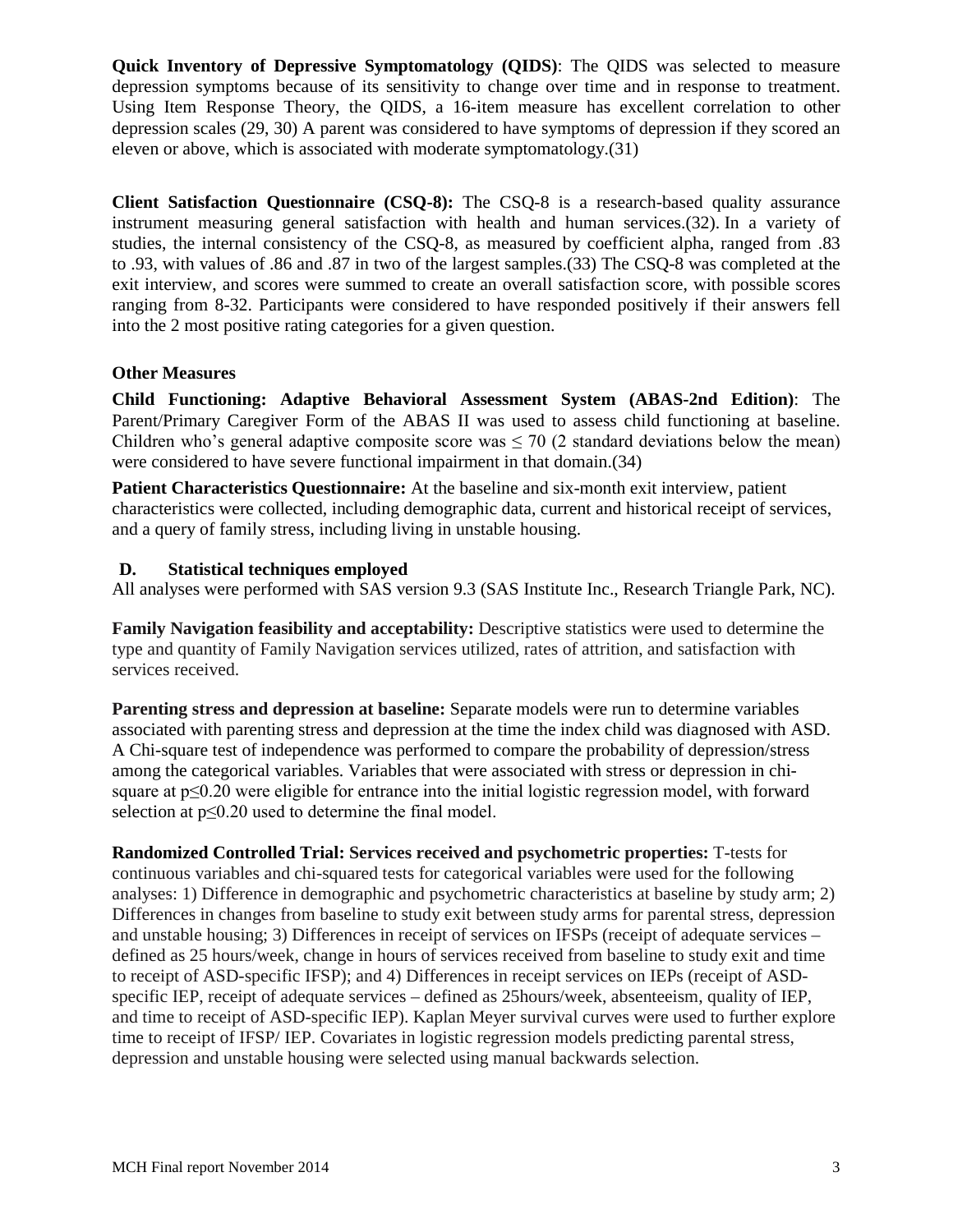**Quick Inventory of Depressive Symptomatology (QIDS)**: The QIDS was selected to measure depression symptoms because of its sensitivity to change over time and in response to treatment. Using Item Response Theory, the QIDS, a 16-item measure has excellent correlation to other depression scales [\(29,](#page-10-0) [30\)](#page-10-1) A parent was considered to have symptoms of depression if they scored an eleven or above, which is associated with moderate symptomatology.[\(31\)](#page-10-2)

**Client Satisfaction Questionnaire (CSQ-8):** The CSQ-8 is a research-based quality assurance instrument measuring general satisfaction with health and human services.[\(32\)](#page-10-3). In a variety of studies, the internal consistency of the CSQ-8, as measured by coefficient alpha, ranged from .83 to .93, with values of .86 and .87 in two of the largest samples.[\(33\)](#page-10-4) The CSQ-8 was completed at the exit interview, and scores were summed to create an overall satisfaction score, with possible scores ranging from 8-32. Participants were considered to have responded positively if their answers fell into the 2 most positive rating categories for a given question.

#### **Other Measures**

**Child Functioning: Adaptive Behavioral Assessment System (ABAS-2nd Edition)**: The Parent/Primary Caregiver Form of the ABAS II was used to assess child functioning at baseline. Children who's general adaptive composite score was  $\leq$  70 (2 standard deviations below the mean) were considered to have severe functional impairment in that domain.[\(34\)](#page-10-5)

**Patient Characteristics Questionnaire:** At the baseline and six-month exit interview, patient characteristics were collected, including demographic data, current and historical receipt of services, and a query of family stress, including living in unstable housing.

#### **D. Statistical techniques employed**

All analyses were performed with SAS version 9.3 (SAS Institute Inc., Research Triangle Park, NC).

**Family Navigation feasibility and acceptability:** Descriptive statistics were used to determine the type and quantity of Family Navigation services utilized, rates of attrition, and satisfaction with services received.

**Parenting stress and depression at baseline:** Separate models were run to determine variables associated with parenting stress and depression at the time the index child was diagnosed with ASD. A Chi-square test of independence was performed to compare the probability of depression/stress among the categorical variables. Variables that were associated with stress or depression in chisquare at p≤0.20 were eligible for entrance into the initial logistic regression model, with forward selection at p≤0.20 used to determine the final model.

**Randomized Controlled Trial: Services received and psychometric properties:** T-tests for continuous variables and chi-squared tests for categorical variables were used for the following analyses: 1) Difference in demographic and psychometric characteristics at baseline by study arm; 2) Differences in changes from baseline to study exit between study arms for parental stress, depression and unstable housing; 3) Differences in receipt of services on IFSPs (receipt of adequate services – defined as 25 hours/week, change in hours of services received from baseline to study exit and time to receipt of ASD-specific IFSP); and 4) Differences in receipt services on IEPs (receipt of ASDspecific IEP, receipt of adequate services – defined as 25hours/week, absenteeism, quality of IEP, and time to receipt of ASD-specific IEP). Kaplan Meyer survival curves were used to further explore time to receipt of IFSP/ IEP. Covariates in logistic regression models predicting parental stress, depression and unstable housing were selected using manual backwards selection.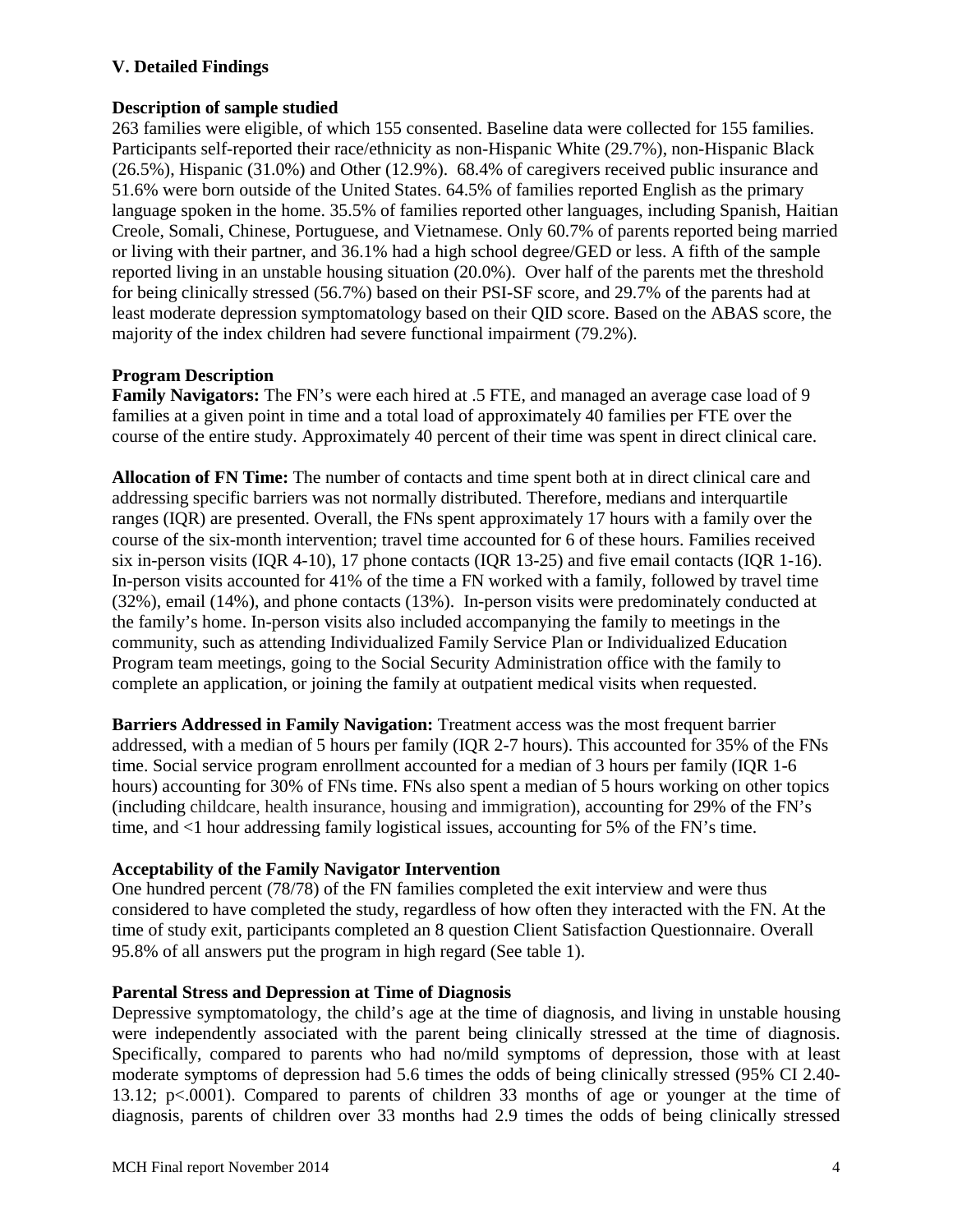## **V. Detailed Findings**

#### **Description of sample studied**

263 families were eligible, of which 155 consented. Baseline data were collected for 155 families. Participants self-reported their race/ethnicity as non-Hispanic White (29.7%), non-Hispanic Black (26.5%), Hispanic (31.0%) and Other (12.9%). 68.4% of caregivers received public insurance and 51.6% were born outside of the United States. 64.5% of families reported English as the primary language spoken in the home. 35.5% of families reported other languages, including Spanish, Haitian Creole, Somali, Chinese, Portuguese, and Vietnamese. Only 60.7% of parents reported being married or living with their partner, and 36.1% had a high school degree/GED or less. A fifth of the sample reported living in an unstable housing situation (20.0%). Over half of the parents met the threshold for being clinically stressed (56.7%) based on their PSI-SF score, and 29.7% of the parents had at least moderate depression symptomatology based on their QID score. Based on the ABAS score, the majority of the index children had severe functional impairment (79.2%).

## **Program Description**

**Family Navigators:** The FN's were each hired at .5 FTE, and managed an average case load of 9 families at a given point in time and a total load of approximately 40 families per FTE over the course of the entire study. Approximately 40 percent of their time was spent in direct clinical care.

**Allocation of FN Time:** The number of contacts and time spent both at in direct clinical care and addressing specific barriers was not normally distributed. Therefore, medians and interquartile ranges (IQR) are presented. Overall, the FNs spent approximately 17 hours with a family over the course of the six-month intervention; travel time accounted for 6 of these hours. Families received six in-person visits (IQR 4-10), 17 phone contacts (IQR 13-25) and five email contacts (IQR 1-16). In-person visits accounted for 41% of the time a FN worked with a family, followed by travel time (32%), email (14%), and phone contacts (13%). In-person visits were predominately conducted at the family's home. In-person visits also included accompanying the family to meetings in the community, such as attending Individualized Family Service Plan or Individualized Education Program team meetings, going to the Social Security Administration office with the family to complete an application, or joining the family at outpatient medical visits when requested.

**Barriers Addressed in Family Navigation:** Treatment access was the most frequent barrier addressed, with a median of 5 hours per family (IQR 2-7 hours). This accounted for 35% of the FNs time. Social service program enrollment accounted for a median of 3 hours per family (IQR 1-6 hours) accounting for 30% of FNs time. FNs also spent a median of 5 hours working on other topics (including childcare, health insurance, housing and immigration), accounting for 29% of the FN's time, and <1 hour addressing family logistical issues, accounting for 5% of the FN's time.

#### **Acceptability of the Family Navigator Intervention**

One hundred percent (78/78) of the FN families completed the exit interview and were thus considered to have completed the study, regardless of how often they interacted with the FN. At the time of study exit, participants completed an 8 question Client Satisfaction Questionnaire. Overall 95.8% of all answers put the program in high regard (See table 1).

#### **Parental Stress and Depression at Time of Diagnosis**

Depressive symptomatology, the child's age at the time of diagnosis, and living in unstable housing were independently associated with the parent being clinically stressed at the time of diagnosis. Specifically, compared to parents who had no/mild symptoms of depression, those with at least moderate symptoms of depression had 5.6 times the odds of being clinically stressed (95% CI 2.40- 13.12; p<.0001). Compared to parents of children 33 months of age or younger at the time of diagnosis, parents of children over 33 months had 2.9 times the odds of being clinically stressed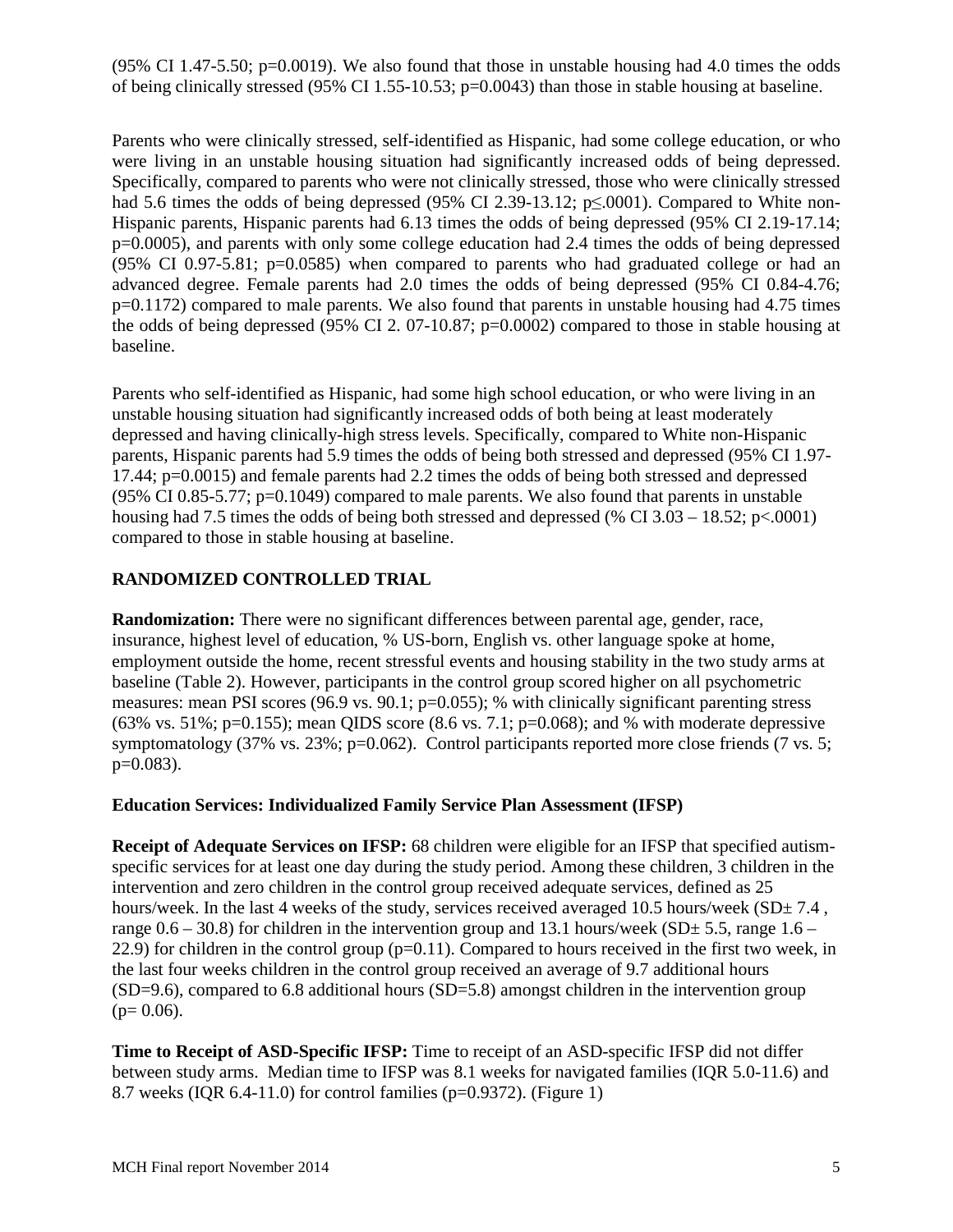$(95\% \text{ CI } 1.47\text{-}5.50; \text{p} = 0.0019)$ . We also found that those in unstable housing had 4.0 times the odds of being clinically stressed (95% CI 1.55-10.53; p=0.0043) than those in stable housing at baseline.

Parents who were clinically stressed, self-identified as Hispanic, had some college education, or who were living in an unstable housing situation had significantly increased odds of being depressed. Specifically, compared to parents who were not clinically stressed, those who were clinically stressed had 5.6 times the odds of being depressed (95% CI 2.39-13.12; p≤.0001). Compared to White non-Hispanic parents, Hispanic parents had 6.13 times the odds of being depressed (95% CI 2.19-17.14; p=0.0005), and parents with only some college education had 2.4 times the odds of being depressed (95% CI 0.97-5.81; p=0.0585) when compared to parents who had graduated college or had an advanced degree. Female parents had 2.0 times the odds of being depressed (95% CI 0.84-4.76; p=0.1172) compared to male parents. We also found that parents in unstable housing had 4.75 times the odds of being depressed (95% CI 2. 07-10.87; p=0.0002) compared to those in stable housing at baseline.

Parents who self-identified as Hispanic, had some high school education, or who were living in an unstable housing situation had significantly increased odds of both being at least moderately depressed and having clinically-high stress levels. Specifically, compared to White non-Hispanic parents, Hispanic parents had 5.9 times the odds of being both stressed and depressed (95% CI 1.97- 17.44; p=0.0015) and female parents had 2.2 times the odds of being both stressed and depressed (95% CI 0.85-5.77; p=0.1049) compared to male parents. We also found that parents in unstable housing had 7.5 times the odds of being both stressed and depressed (% CI  $3.03 - 18.52$ ; p<.0001) compared to those in stable housing at baseline.

# **RANDOMIZED CONTROLLED TRIAL**

**Randomization:** There were no significant differences between parental age, gender, race, insurance, highest level of education, % US-born, English vs. other language spoke at home, employment outside the home, recent stressful events and housing stability in the two study arms at baseline (Table 2). However, participants in the control group scored higher on all psychometric measures: mean PSI scores (96.9 vs. 90.1; p=0.055); % with clinically significant parenting stress (63% vs. 51%; p=0.155); mean QIDS score (8.6 vs. 7.1; p=0.068); and % with moderate depressive symptomatology (37% vs. 23%; p=0.062). Control participants reported more close friends (7 vs. 5;  $p=0.083$ ).

# **Education Services: Individualized Family Service Plan Assessment (IFSP)**

**Receipt of Adequate Services on IFSP:** 68 children were eligible for an IFSP that specified autismspecific services for at least one day during the study period. Among these children, 3 children in the intervention and zero children in the control group received adequate services, defined as 25 hours/week. In the last 4 weeks of the study, services received averaged 10.5 hours/week ( $SD \pm 7.4$ , range  $0.6 - 30.8$ ) for children in the intervention group and 13.1 hours/week (SD $\pm$  5.5, range 1.6 – 22.9) for children in the control group  $(p=0.11)$ . Compared to hours received in the first two week, in the last four weeks children in the control group received an average of 9.7 additional hours (SD=9.6), compared to 6.8 additional hours (SD=5.8) amongst children in the intervention group  $(p= 0.06)$ .

**Time to Receipt of ASD-Specific IFSP:** Time to receipt of an ASD-specific IFSP did not differ between study arms. Median time to IFSP was 8.1 weeks for navigated families (IQR 5.0-11.6) and 8.7 weeks (IQR 6.4-11.0) for control families (p=0.9372). (Figure 1)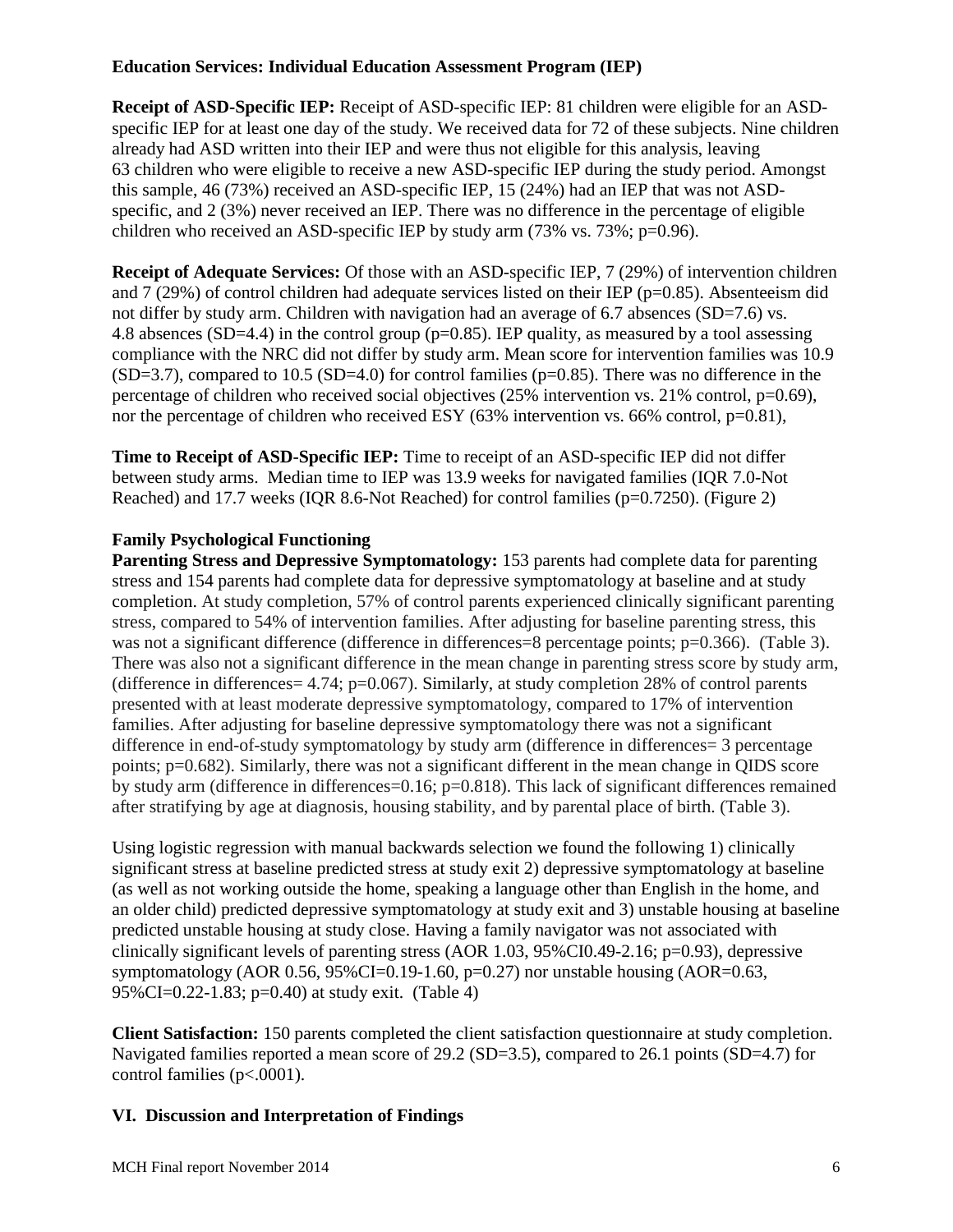## **Education Services: Individual Education Assessment Program (IEP)**

**Receipt of ASD-Specific IEP:** Receipt of ASD-specific IEP: 81 children were eligible for an ASDspecific IEP for at least one day of the study. We received data for 72 of these subjects. Nine children already had ASD written into their IEP and were thus not eligible for this analysis, leaving 63 children who were eligible to receive a new ASD-specific IEP during the study period. Amongst this sample, 46 (73%) received an ASD-specific IEP, 15 (24%) had an IEP that was not ASDspecific, and 2 (3%) never received an IEP. There was no difference in the percentage of eligible children who received an ASD-specific IEP by study arm (73% vs. 73%; p=0.96).

**Receipt of Adequate Services:** Of those with an ASD-specific IEP, 7 (29%) of intervention children and  $7(29%)$  of control children had adequate services listed on their IEP ( $p=0.85$ ). Absenteeism did not differ by study arm. Children with navigation had an average of 6.7 absences (SD=7.6) vs. 4.8 absences (SD=4.4) in the control group (p=0.85). IEP quality, as measured by a tool assessing compliance with the NRC did not differ by study arm. Mean score for intervention families was 10.9  $(SD=3.7)$ , compared to 10.5  $(SD=4.0)$  for control families ( $p=0.85$ ). There was no difference in the percentage of children who received social objectives (25% intervention vs. 21% control, p=0.69), nor the percentage of children who received ESY (63% intervention vs. 66% control, p=0.81),

**Time to Receipt of ASD-Specific IEP:** Time to receipt of an ASD-specific IEP did not differ between study arms. Median time to IEP was 13.9 weeks for navigated families (IQR 7.0-Not Reached) and 17.7 weeks (IQR 8.6-Not Reached) for control families (p=0.7250). (Figure 2)

## **Family Psychological Functioning**

**Parenting Stress and Depressive Symptomatology:** 153 parents had complete data for parenting stress and 154 parents had complete data for depressive symptomatology at baseline and at study completion. At study completion, 57% of control parents experienced clinically significant parenting stress, compared to 54% of intervention families. After adjusting for baseline parenting stress, this was not a significant difference (difference in differences=8 percentage points; p=0.366). (Table 3). There was also not a significant difference in the mean change in parenting stress score by study arm, (difference in differences =  $4.74$ ; p=0.067). Similarly, at study completion 28% of control parents presented with at least moderate depressive symptomatology, compared to 17% of intervention families. After adjusting for baseline depressive symptomatology there was not a significant difference in end-of-study symptomatology by study arm (difference in differences = 3 percentage points; p=0.682). Similarly, there was not a significant different in the mean change in QIDS score by study arm (difference in differences=0.16; p=0.818). This lack of significant differences remained after stratifying by age at diagnosis, housing stability, and by parental place of birth. (Table 3).

Using logistic regression with manual backwards selection we found the following 1) clinically significant stress at baseline predicted stress at study exit 2) depressive symptomatology at baseline (as well as not working outside the home, speaking a language other than English in the home, and an older child) predicted depressive symptomatology at study exit and 3) unstable housing at baseline predicted unstable housing at study close. Having a family navigator was not associated with clinically significant levels of parenting stress (AOR 1.03, 95%CI0.49-2.16; p=0.93), depressive symptomatology (AOR 0.56, 95%CI=0.19-1.60,  $p=0.27$ ) nor unstable housing (AOR=0.63, 95%CI=0.22-1.83; p=0.40) at study exit. (Table 4)

**Client Satisfaction:** 150 parents completed the client satisfaction questionnaire at study completion. Navigated families reported a mean score of 29.2 (SD=3.5), compared to 26.1 points (SD=4.7) for control families (p<.0001).

# **VI. Discussion and Interpretation of Findings**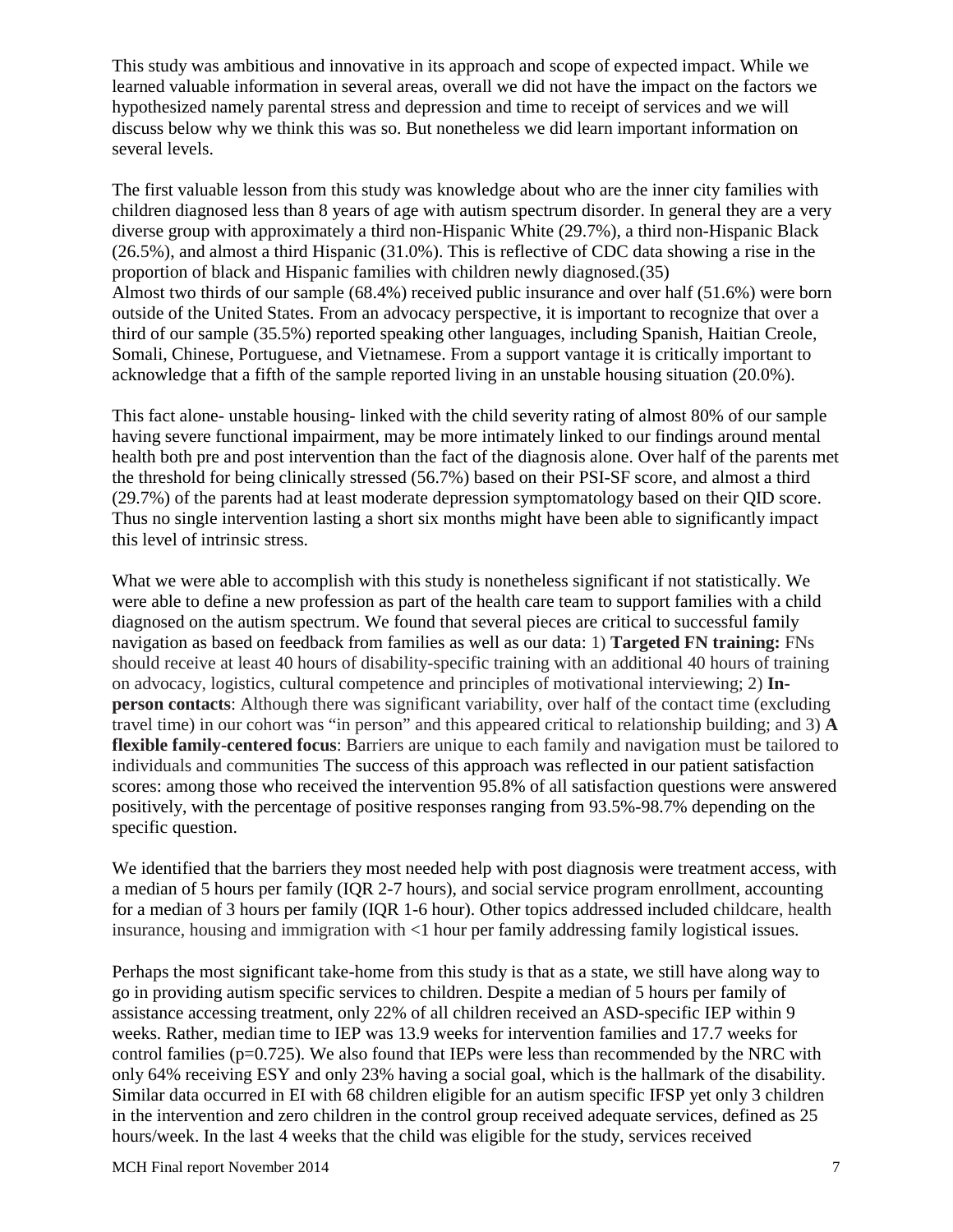This study was ambitious and innovative in its approach and scope of expected impact. While we learned valuable information in several areas, overall we did not have the impact on the factors we hypothesized namely parental stress and depression and time to receipt of services and we will discuss below why we think this was so. But nonetheless we did learn important information on several levels.

The first valuable lesson from this study was knowledge about who are the inner city families with children diagnosed less than 8 years of age with autism spectrum disorder. In general they are a very diverse group with approximately a third non-Hispanic White (29.7%), a third non-Hispanic Black (26.5%), and almost a third Hispanic (31.0%). This is reflective of CDC data showing a rise in the proportion of black and Hispanic families with children newly diagnosed.[\(35\)](#page-10-6) Almost two thirds of our sample (68.4%) received public insurance and over half (51.6%) were born outside of the United States. From an advocacy perspective, it is important to recognize that over a third of our sample (35.5%) reported speaking other languages, including Spanish, Haitian Creole, Somali, Chinese, Portuguese, and Vietnamese. From a support vantage it is critically important to acknowledge that a fifth of the sample reported living in an unstable housing situation (20.0%).

This fact alone- unstable housing- linked with the child severity rating of almost 80% of our sample having severe functional impairment, may be more intimately linked to our findings around mental health both pre and post intervention than the fact of the diagnosis alone. Over half of the parents met the threshold for being clinically stressed (56.7%) based on their PSI-SF score, and almost a third (29.7%) of the parents had at least moderate depression symptomatology based on their QID score. Thus no single intervention lasting a short six months might have been able to significantly impact this level of intrinsic stress.

What we were able to accomplish with this study is nonetheless significant if not statistically. We were able to define a new profession as part of the health care team to support families with a child diagnosed on the autism spectrum. We found that several pieces are critical to successful family navigation as based on feedback from families as well as our data: 1) **Targeted FN training:** FNs should receive at least 40 hours of disability-specific training with an additional 40 hours of training on advocacy, logistics, cultural competence and principles of motivational interviewing; 2) **Inperson contacts**: Although there was significant variability, over half of the contact time (excluding travel time) in our cohort was "in person" and this appeared critical to relationship building; and 3) **A flexible family-centered focus**: Barriers are unique to each family and navigation must be tailored to individuals and communities The success of this approach was reflected in our patient satisfaction scores: among those who received the intervention 95.8% of all satisfaction questions were answered positively, with the percentage of positive responses ranging from 93.5%-98.7% depending on the specific question.

We identified that the barriers they most needed help with post diagnosis were treatment access, with a median of 5 hours per family (IQR 2-7 hours), and social service program enrollment, accounting for a median of 3 hours per family (IQR 1-6 hour). Other topics addressed included childcare, health insurance, housing and immigration with <1 hour per family addressing family logistical issues.

Perhaps the most significant take-home from this study is that as a state, we still have along way to go in providing autism specific services to children. Despite a median of 5 hours per family of assistance accessing treatment, only 22% of all children received an ASD-specific IEP within 9 weeks. Rather, median time to IEP was 13.9 weeks for intervention families and 17.7 weeks for control families ( $p=0.725$ ). We also found that IEPs were less than recommended by the NRC with only 64% receiving ESY and only 23% having a social goal, which is the hallmark of the disability. Similar data occurred in EI with 68 children eligible for an autism specific IFSP yet only 3 children in the intervention and zero children in the control group received adequate services, defined as 25 hours/week. In the last 4 weeks that the child was eligible for the study, services received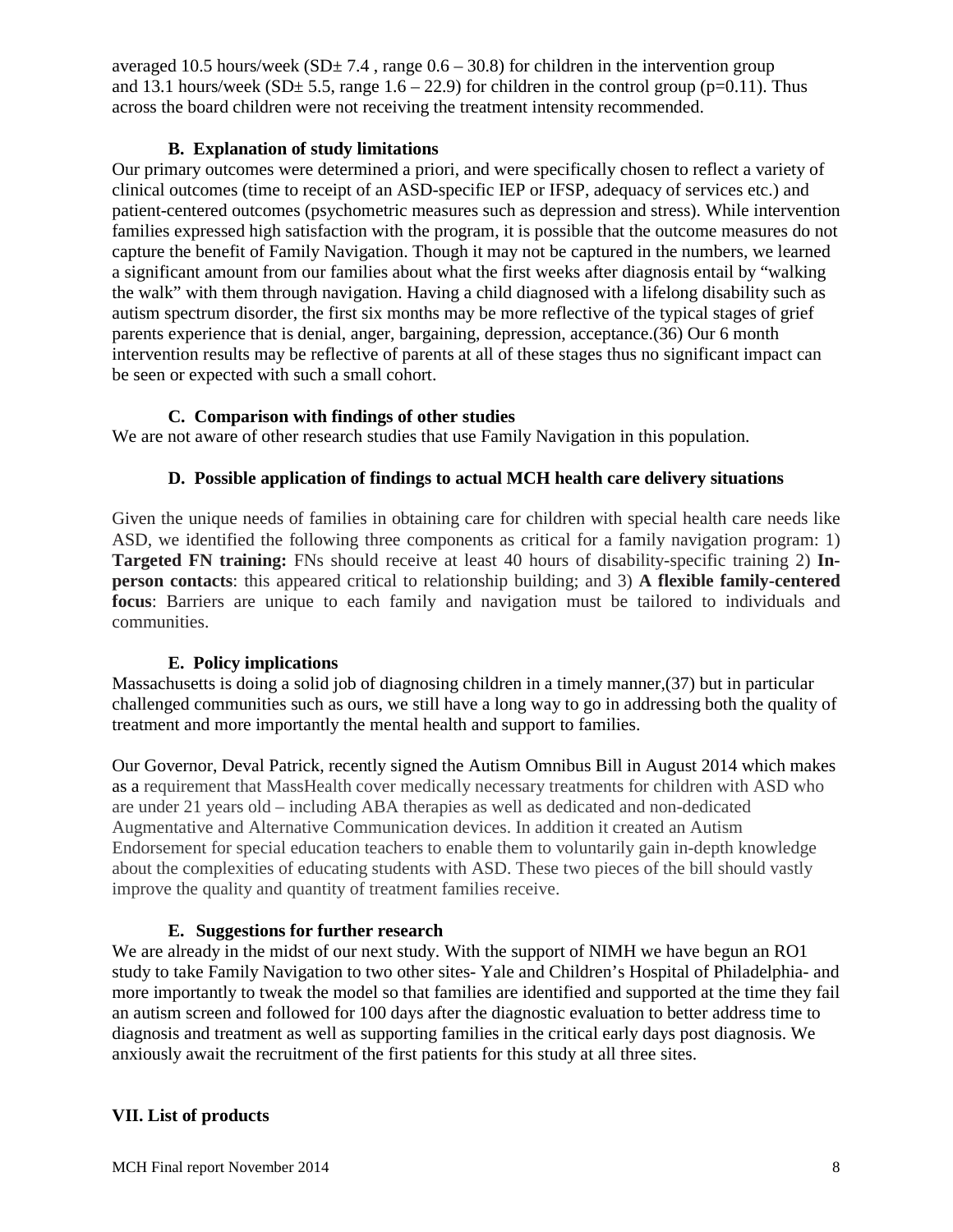averaged 10.5 hours/week ( $SD \pm 7.4$ , range 0.6 – 30.8) for children in the intervention group and 13.1 hours/week (SD $\pm$  5.5, range 1.6 – 22.9) for children in the control group (p=0.11). Thus across the board children were not receiving the treatment intensity recommended.

#### **B. Explanation of study limitations**

Our primary outcomes were determined a priori, and were specifically chosen to reflect a variety of clinical outcomes (time to receipt of an ASD-specific IEP or IFSP, adequacy of services etc.) and patient-centered outcomes (psychometric measures such as depression and stress). While intervention families expressed high satisfaction with the program, it is possible that the outcome measures do not capture the benefit of Family Navigation. Though it may not be captured in the numbers, we learned a significant amount from our families about what the first weeks after diagnosis entail by "walking the walk" with them through navigation. Having a child diagnosed with a lifelong disability such as autism spectrum disorder, the first six months may be more reflective of the typical stages of grief parents experience that is denial, anger, bargaining, depression, acceptance.[\(36\)](#page-10-7) Our 6 month intervention results may be reflective of parents at all of these stages thus no significant impact can be seen or expected with such a small cohort.

## **C. Comparison with findings of other studies**

We are not aware of other research studies that use Family Navigation in this population.

## **D. Possible application of findings to actual MCH health care delivery situations**

Given the unique needs of families in obtaining care for children with special health care needs like ASD, we identified the following three components as critical for a family navigation program: 1) **Targeted FN training:** FNs should receive at least 40 hours of disability-specific training 2) **Inperson contacts**: this appeared critical to relationship building; and 3) **A flexible family-centered focus**: Barriers are unique to each family and navigation must be tailored to individuals and communities.

# **E. Policy implications**

Massachusetts is doing a solid job of diagnosing children in a timely manner,[\(37\)](#page-10-8) but in particular challenged communities such as ours, we still have a long way to go in addressing both the quality of treatment and more importantly the mental health and support to families.

Our Governor, Deval Patrick, recently signed the Autism Omnibus Bill in August 2014 which makes as a requirement that MassHealth cover medically necessary treatments for children with ASD who are under 21 years old – including ABA therapies as well as dedicated and non-dedicated Augmentative and Alternative Communication devices. In addition it created an Autism Endorsement for special education teachers to enable them to voluntarily gain in-depth knowledge about the complexities of educating students with ASD. These two pieces of the bill should vastly improve the quality and quantity of treatment families receive.

#### **E. Suggestions for further research**

We are already in the midst of our next study. With the support of NIMH we have begun an RO1 study to take Family Navigation to two other sites- Yale and Children's Hospital of Philadelphia- and more importantly to tweak the model so that families are identified and supported at the time they fail an autism screen and followed for 100 days after the diagnostic evaluation to better address time to diagnosis and treatment as well as supporting families in the critical early days post diagnosis. We anxiously await the recruitment of the first patients for this study at all three sites.

# **VII. List of products**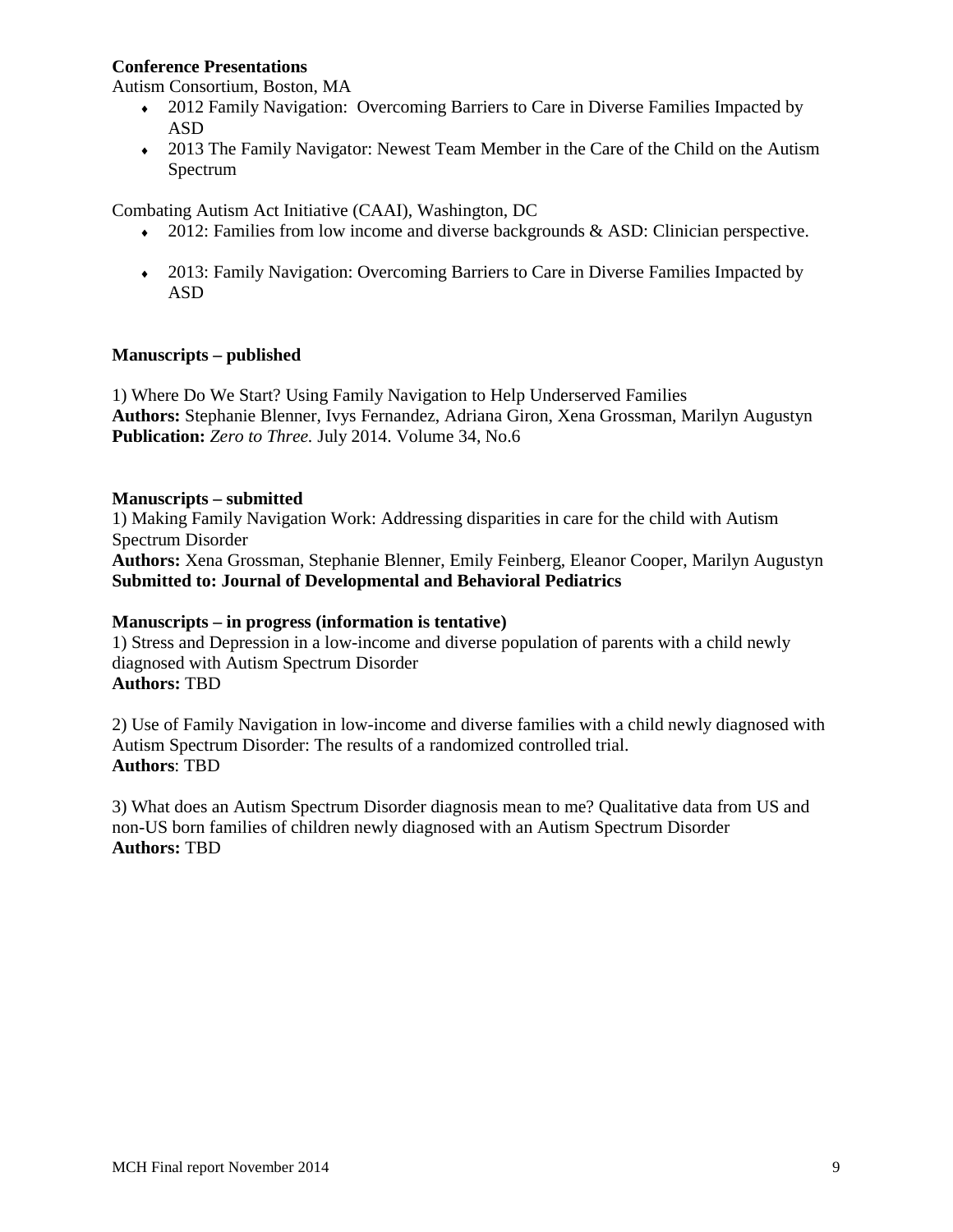#### **Conference Presentations**

Autism Consortium, Boston, MA

- 2012 Family Navigation: Overcoming Barriers to Care in Diverse Families Impacted by ASD
- 2013 The Family Navigator: Newest Team Member in the Care of the Child on the Autism Spectrum

Combating Autism Act Initiative (CAAI), Washington, DC

- $\bullet$  2012: Families from low income and diverse backgrounds & ASD: Clinician perspective.
- ♦ 2013: Family Navigation: Overcoming Barriers to Care in Diverse Families Impacted by ASD

#### **Manuscripts – published**

1) Where Do We Start? Using Family Navigation to Help Underserved Families **Authors:** Stephanie Blenner, Ivys Fernandez, Adriana Giron, Xena Grossman, Marilyn Augustyn **Publication:** *Zero to Three.* July 2014. Volume 34, No.6

#### **Manuscripts – submitted**

1) Making Family Navigation Work: Addressing disparities in care for the child with Autism Spectrum Disorder **Authors:** Xena Grossman, Stephanie Blenner, Emily Feinberg, Eleanor Cooper, Marilyn Augustyn **Submitted to: Journal of Developmental and Behavioral Pediatrics**

#### **Manuscripts – in progress (information is tentative)**

1) Stress and Depression in a low-income and diverse population of parents with a child newly diagnosed with Autism Spectrum Disorder **Authors:** TBD

2) Use of Family Navigation in low-income and diverse families with a child newly diagnosed with Autism Spectrum Disorder: The results of a randomized controlled trial. **Authors**: TBD

3) What does an Autism Spectrum Disorder diagnosis mean to me? Qualitative data from US and non-US born families of children newly diagnosed with an Autism Spectrum Disorder **Authors:** TBD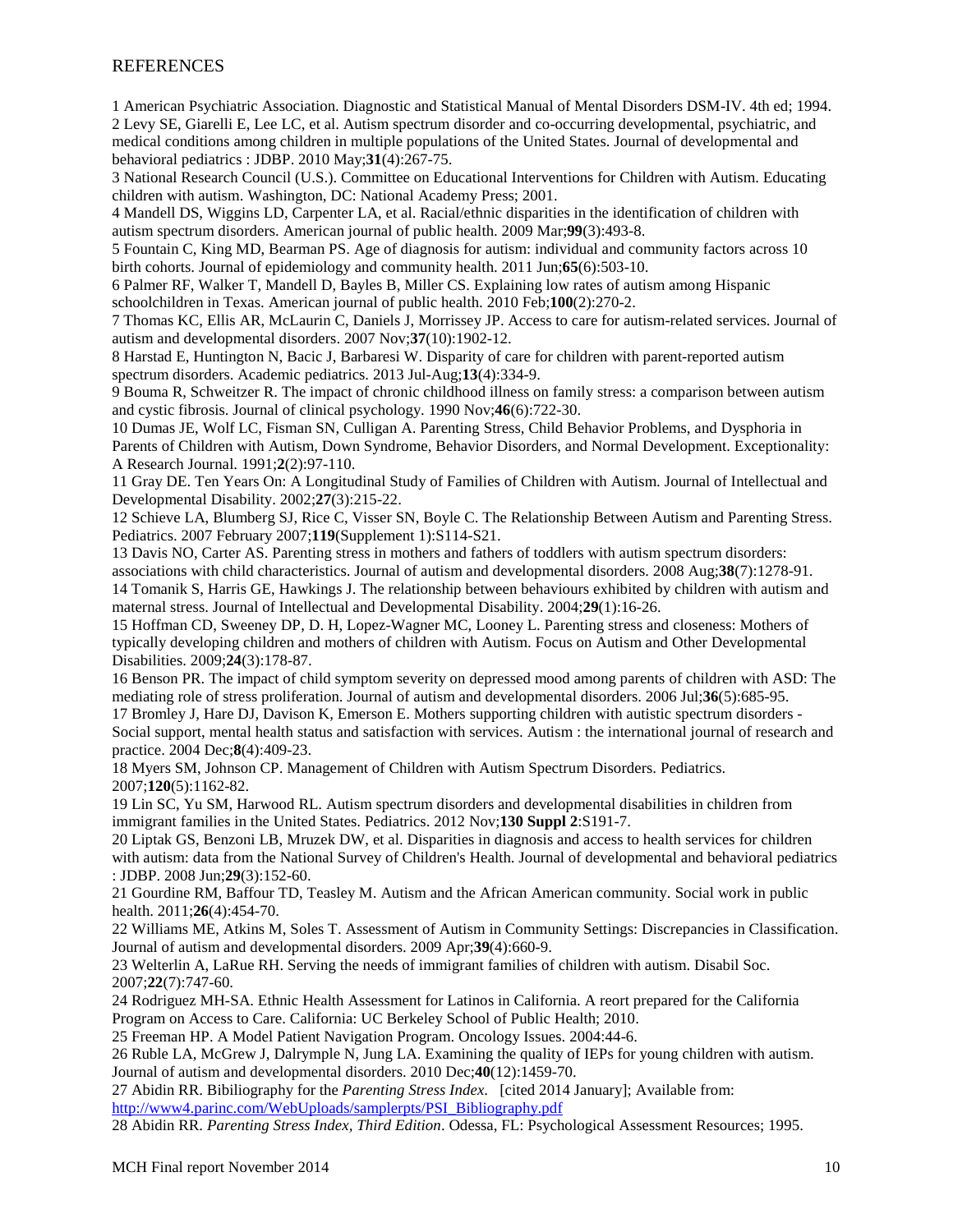#### **REFERENCES**

<span id="page-9-1"></span><span id="page-9-0"></span>1 American Psychiatric Association. Diagnostic and Statistical Manual of Mental Disorders DSM-IV. 4th ed; 1994. 2 Levy SE, Giarelli E, Lee LC, et al. Autism spectrum disorder and co-occurring developmental, psychiatric, and medical conditions among children in multiple populations of the United States. Journal of developmental and behavioral pediatrics : JDBP. 2010 May;**31**(4):267-75.

<span id="page-9-2"></span>3 National Research Council (U.S.). Committee on Educational Interventions for Children with Autism. Educating children with autism. Washington, DC: National Academy Press; 2001.

<span id="page-9-3"></span>4 Mandell DS, Wiggins LD, Carpenter LA, et al. Racial/ethnic disparities in the identification of children with autism spectrum disorders. American journal of public health. 2009 Mar;**99**(3):493-8.

5 Fountain C, King MD, Bearman PS. Age of diagnosis for autism: individual and community factors across 10 birth cohorts. Journal of epidemiology and community health. 2011 Jun;**65**(6):503-10.

6 Palmer RF, Walker T, Mandell D, Bayles B, Miller CS. Explaining low rates of autism among Hispanic schoolchildren in Texas. American journal of public health. 2010 Feb;**100**(2):270-2.

7 Thomas KC, Ellis AR, McLaurin C, Daniels J, Morrissey JP. Access to care for autism-related services. Journal of autism and developmental disorders. 2007 Nov;**37**(10):1902-12.

8 Harstad E, Huntington N, Bacic J, Barbaresi W. Disparity of care for children with parent-reported autism spectrum disorders. Academic pediatrics. 2013 Jul-Aug;**13**(4):334-9.

<span id="page-9-4"></span>9 Bouma R, Schweitzer R. The impact of chronic childhood illness on family stress: a comparison between autism and cystic fibrosis. Journal of clinical psychology. 1990 Nov;**46**(6):722-30.

10 Dumas JE, Wolf LC, Fisman SN, Culligan A. Parenting Stress, Child Behavior Problems, and Dysphoria in Parents of Children with Autism, Down Syndrome, Behavior Disorders, and Normal Development. Exceptionality: A Research Journal. 1991;**2**(2):97-110.

11 Gray DE. Ten Years On: A Longitudinal Study of Families of Children with Autism. Journal of Intellectual and Developmental Disability. 2002;**27**(3):215-22.

12 Schieve LA, Blumberg SJ, Rice C, Visser SN, Boyle C. The Relationship Between Autism and Parenting Stress. Pediatrics. 2007 February 2007;**119**(Supplement 1):S114-S21.

<span id="page-9-5"></span>13 Davis NO, Carter AS. Parenting stress in mothers and fathers of toddlers with autism spectrum disorders: associations with child characteristics. Journal of autism and developmental disorders. 2008 Aug;**38**(7):1278-91. 14 Tomanik S, Harris GE, Hawkings J. The relationship between behaviours exhibited by children with autism and maternal stress. Journal of Intellectual and Developmental Disability. 2004;**29**(1):16-26.

15 Hoffman CD, Sweeney DP, D. H, Lopez-Wagner MC, Looney L. Parenting stress and closeness: Mothers of typically developing children and mothers of children with Autism. Focus on Autism and Other Developmental Disabilities. 2009;**24**(3):178-87.

<span id="page-9-6"></span>16 Benson PR. The impact of child symptom severity on depressed mood among parents of children with ASD: The mediating role of stress proliferation. Journal of autism and developmental disorders. 2006 Jul;**36**(5):685-95.

<span id="page-9-7"></span>17 Bromley J, Hare DJ, Davison K, Emerson E. Mothers supporting children with autistic spectrum disorders - Social support, mental health status and satisfaction with services. Autism : the international journal of research and practice. 2004 Dec;**8**(4):409-23.

<span id="page-9-8"></span>18 Myers SM, Johnson CP. Management of Children with Autism Spectrum Disorders. Pediatrics. 2007;**120**(5):1162-82.

<span id="page-9-9"></span>19 Lin SC, Yu SM, Harwood RL. Autism spectrum disorders and developmental disabilities in children from immigrant families in the United States. Pediatrics. 2012 Nov;**130 Suppl 2**:S191-7.

<span id="page-9-10"></span>20 Liptak GS, Benzoni LB, Mruzek DW, et al. Disparities in diagnosis and access to health services for children with autism: data from the National Survey of Children's Health. Journal of developmental and behavioral pediatrics : JDBP. 2008 Jun;**29**(3):152-60.

<span id="page-9-11"></span>21 Gourdine RM, Baffour TD, Teasley M. Autism and the African American community. Social work in public health. 2011;**26**(4):454-70.

22 Williams ME, Atkins M, Soles T. Assessment of Autism in Community Settings: Discrepancies in Classification. Journal of autism and developmental disorders. 2009 Apr;**39**(4):660-9.

23 Welterlin A, LaRue RH. Serving the needs of immigrant families of children with autism. Disabil Soc. 2007;**22**(7):747-60.

24 Rodriguez MH-SA. Ethnic Health Assessment for Latinos in California. A reort prepared for the California Program on Access to Care. California: UC Berkeley School of Public Health; 2010.

<span id="page-9-12"></span>25 Freeman HP. A Model Patient Navigation Program. Oncology Issues. 2004:44-6.

<span id="page-9-13"></span>26 Ruble LA, McGrew J, Dalrymple N, Jung LA. Examining the quality of IEPs for young children with autism. Journal of autism and developmental disorders. 2010 Dec;**40**(12):1459-70.

<span id="page-9-14"></span>27 Abidin RR. Bibiliography for the *Parenting Stress Index*. [cited 2014 January]; Available from: [http://www4.parinc.com/WebUploads/samplerpts/PSI\\_Bibliography.pdf](http://www4.parinc.com/WebUploads/samplerpts/PSI_Bibliography.pdf)

<span id="page-9-15"></span>28 Abidin RR. *Parenting Stress Index, Third Edition*. Odessa, FL: Psychological Assessment Resources; 1995.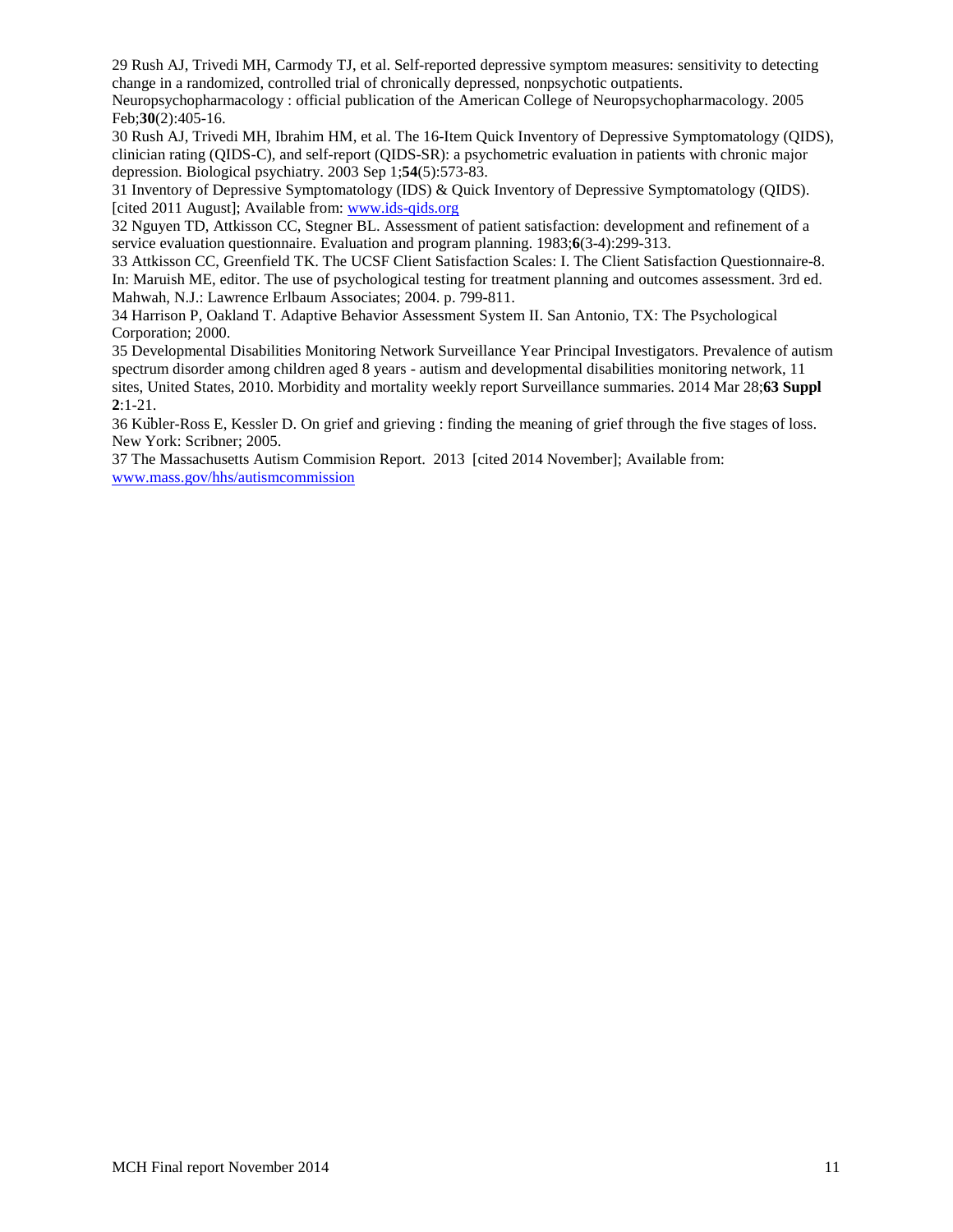<span id="page-10-0"></span>29 Rush AJ, Trivedi MH, Carmody TJ, et al. Self-reported depressive symptom measures: sensitivity to detecting change in a randomized, controlled trial of chronically depressed, nonpsychotic outpatients.

Neuropsychopharmacology : official publication of the American College of Neuropsychopharmacology. 2005 Feb;**30**(2):405-16.

<span id="page-10-1"></span>30 Rush AJ, Trivedi MH, Ibrahim HM, et al. The 16-Item Quick Inventory of Depressive Symptomatology (QIDS), clinician rating (QIDS-C), and self-report (QIDS-SR): a psychometric evaluation in patients with chronic major depression. Biological psychiatry. 2003 Sep 1;**54**(5):573-83.

<span id="page-10-2"></span>31 Inventory of Depressive Symptomatology (IDS) & Quick Inventory of Depressive Symptomatology (QIDS). [cited 2011 August]; Available from: [www.ids-qids.org](http://www.ids-qids.org/)

<span id="page-10-3"></span>32 Nguyen TD, Attkisson CC, Stegner BL. Assessment of patient satisfaction: development and refinement of a service evaluation questionnaire. Evaluation and program planning. 1983;**6**(3-4):299-313.

<span id="page-10-4"></span>33 Attkisson CC, Greenfield TK. The UCSF Client Satisfaction Scales: I. The Client Satisfaction Questionnaire-8. In: Maruish ME, editor. The use of psychological testing for treatment planning and outcomes assessment. 3rd ed. Mahwah, N.J.: Lawrence Erlbaum Associates; 2004. p. 799-811.

<span id="page-10-5"></span>34 Harrison P, Oakland T. Adaptive Behavior Assessment System II. San Antonio, TX: The Psychological Corporation; 2000.

<span id="page-10-6"></span>35 Developmental Disabilities Monitoring Network Surveillance Year Principal Investigators. Prevalence of autism spectrum disorder among children aged 8 years - autism and developmental disabilities monitoring network, 11 sites, United States, 2010. Morbidity and mortality weekly report Surveillance summaries. 2014 Mar 28;**63 Suppl 2**:1-21.

<span id="page-10-7"></span>36 Kübler-Ross E, Kessler D. On grief and grieving : finding the meaning of grief through the five stages of loss. New York: Scribner; 2005.

<span id="page-10-8"></span>37 The Massachusetts Autism Commision Report. 2013 [cited 2014 November]; Available from: [www.mass.gov/hhs/autismcommission](http://www.mass.gov/hhs/autismcommission)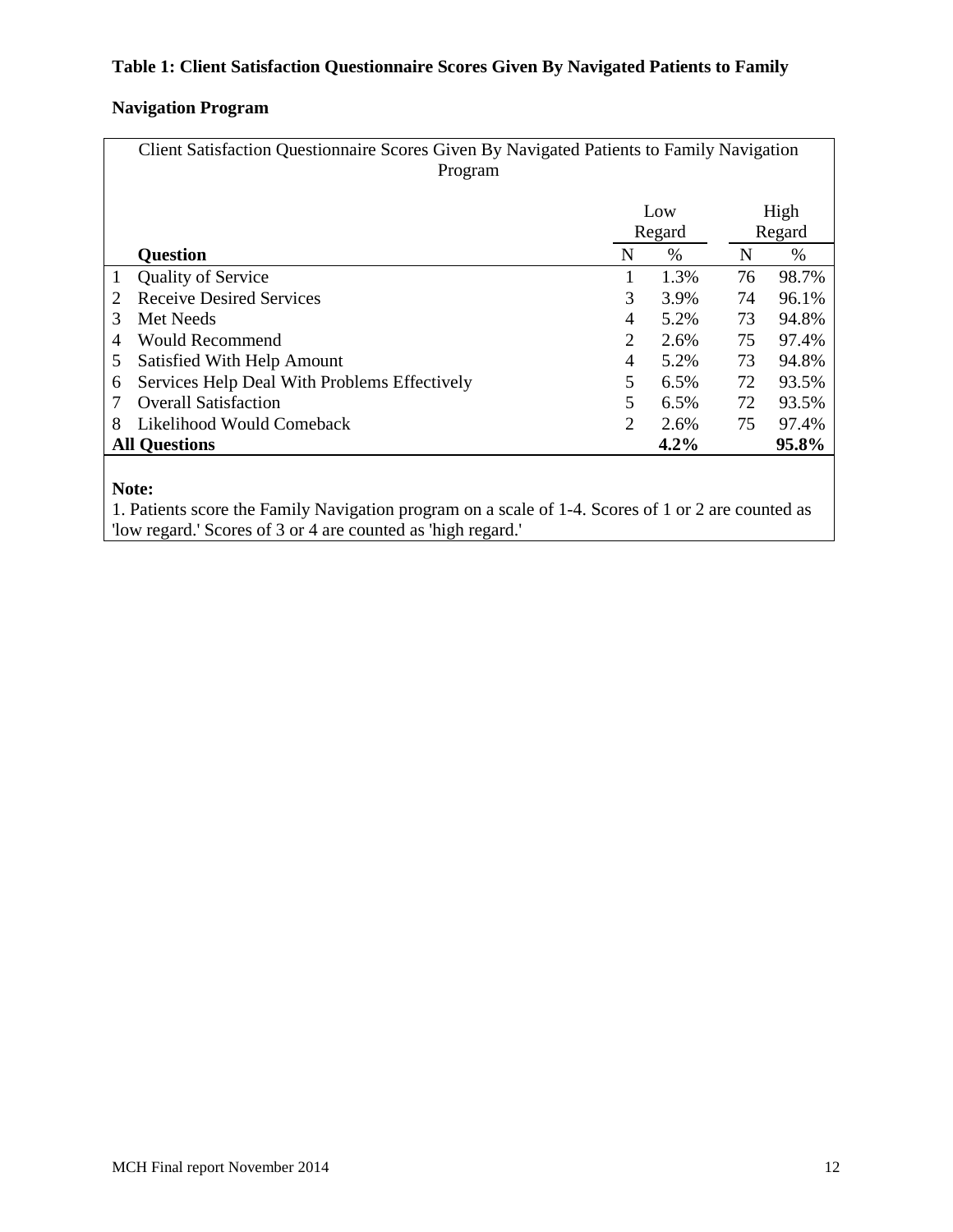# **Table 1: Client Satisfaction Questionnaire Scores Given By Navigated Patients to Family**

# **Navigation Program**

|                | Client Satisfaction Questionnaire Scores Given By Navigated Patients to Family Navigation<br>Program |                |        |        |       |  |  |  |
|----------------|------------------------------------------------------------------------------------------------------|----------------|--------|--------|-------|--|--|--|
|                |                                                                                                      | Low            |        |        | High  |  |  |  |
|                |                                                                                                      |                | Regard | Regard |       |  |  |  |
|                | <b>Question</b>                                                                                      | N              | $\%$   | N      | $\%$  |  |  |  |
| 1              | <b>Quality of Service</b>                                                                            |                | 1.3%   | 76     | 98.7% |  |  |  |
| 2              | <b>Receive Desired Services</b>                                                                      | 3              | 3.9%   | 74     | 96.1% |  |  |  |
| 3              | Met Needs                                                                                            | $\overline{4}$ | 5.2%   | 73     | 94.8% |  |  |  |
| $\overline{4}$ | <b>Would Recommend</b>                                                                               | 2              | 2.6%   | 75     | 97.4% |  |  |  |
| 5              | Satisfied With Help Amount                                                                           | $\overline{4}$ | 5.2%   | 73     | 94.8% |  |  |  |
| 6              | Services Help Deal With Problems Effectively                                                         | 5              | 6.5%   | 72     | 93.5% |  |  |  |
|                | <b>Overall Satisfaction</b>                                                                          | 5              | 6.5%   | 72     | 93.5% |  |  |  |
| 8              | Likelihood Would Comeback                                                                            | 2              | 2.6%   | 75     | 97.4% |  |  |  |
|                | <b>All Questions</b>                                                                                 |                | 4.2%   |        | 95.8% |  |  |  |
|                |                                                                                                      |                |        |        |       |  |  |  |

# **Note:**

1. Patients score the Family Navigation program on a scale of 1-4. Scores of 1 or 2 are counted as 'low regard.' Scores of 3 or 4 are counted as 'high regard.'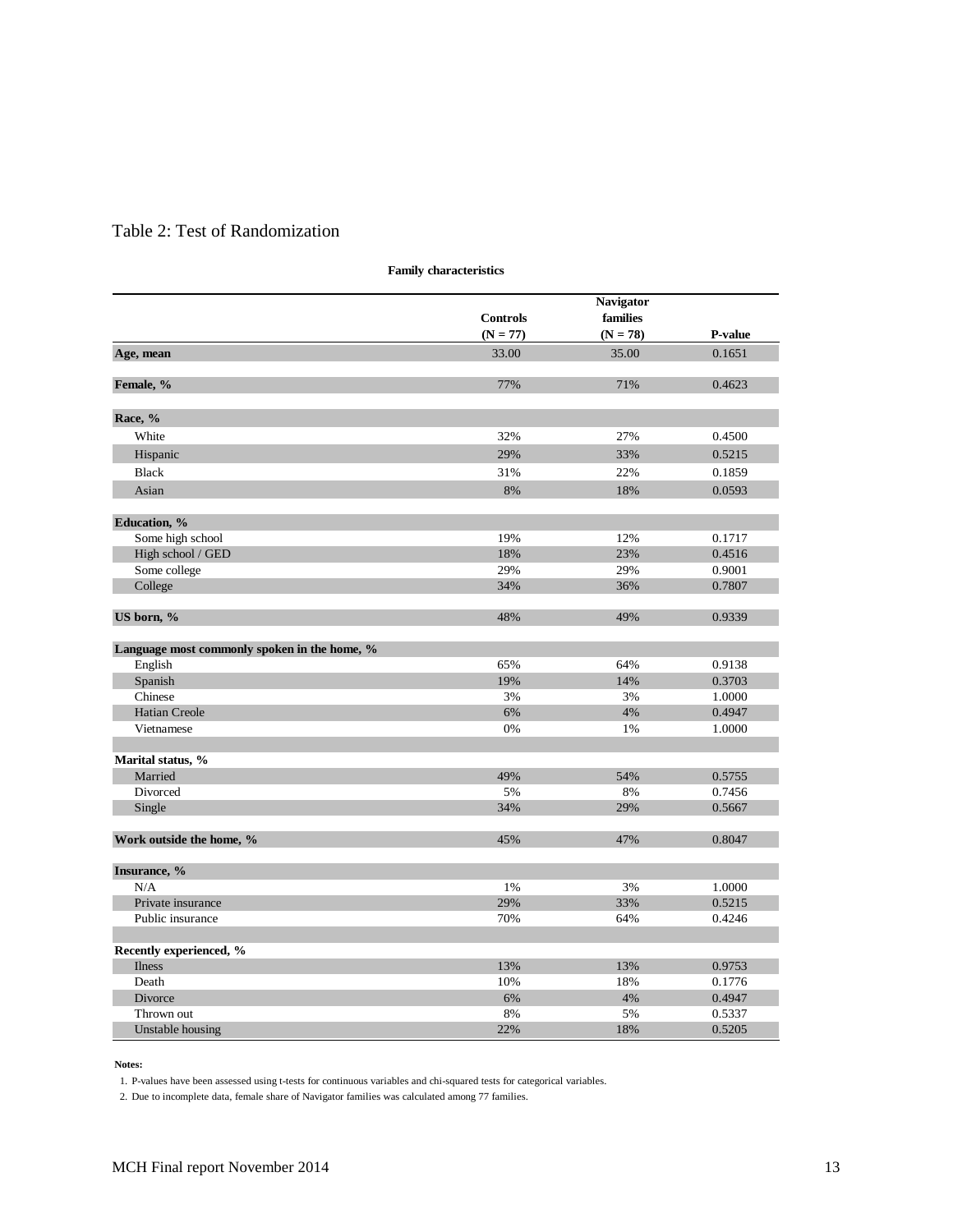# Table 2: Test of Randomization

|                                              | <b>Controls</b> | <b>Navigator</b><br>families |                |
|----------------------------------------------|-----------------|------------------------------|----------------|
|                                              | $(N = 77)$      | $(N = 78)$                   | <b>P-value</b> |
| Age, mean                                    | 33.00           | 35.00                        | 0.1651         |
| Female, %                                    | 77%             | 71%                          | 0.4623         |
| Race, %                                      |                 |                              |                |
| White                                        | 32%             | 27%                          | 0.4500         |
| Hispanic                                     | 29%             | 33%                          | 0.5215         |
| <b>Black</b>                                 | 31%             | 22%                          | 0.1859         |
| Asian                                        | 8%              | 18%                          | 0.0593         |
| Education, %                                 |                 |                              |                |
| Some high school                             | 19%             | 12%                          | 0.1717         |
| High school / GED                            | 18%             | 23%                          | 0.4516         |
| Some college                                 | 29%             | 29%                          | 0.9001         |
| College                                      | 34%             | 36%                          | 0.7807         |
| US born, %                                   | 48%             | 49%                          | 0.9339         |
| Language most commonly spoken in the home, % |                 |                              |                |
| English                                      | 65%             | 64%                          | 0.9138         |
| Spanish                                      | 19%             | 14%                          | 0.3703         |
| Chinese                                      | 3%              | 3%                           | 1.0000         |
| <b>Hatian Creole</b>                         | 6%              | 4%                           | 0.4947         |
| Vietnamese                                   | 0%              | 1%                           | 1.0000         |
| Marital status, %                            |                 |                              |                |
| Married                                      | 49%             | 54%                          | 0.5755         |
| Divorced                                     | 5%              | 8%                           | 0.7456         |
| Single                                       | 34%             | 29%                          | 0.5667         |
| Work outside the home, %                     | 45%             | 47%                          | 0.8047         |
| Insurance, %                                 |                 |                              |                |
| N/A                                          | 1%              | 3%                           | 1.0000         |
| Private insurance                            | 29%             | 33%                          | 0.5215         |
| Public insurance                             | 70%             | 64%                          | 0.4246         |
| Recently experienced, %                      |                 |                              |                |
| <b>Ilness</b>                                | 13%             | 13%                          | 0.9753         |
| Death                                        | 10%             | 18%                          | 0.1776         |
| <b>Divorce</b>                               | 6%              | 4%                           | 0.4947         |
| Thrown out                                   | 8%              | 5%                           | 0.5337         |
| Unstable housing                             | 22%             | 18%                          | 0.5205         |

**Family characteristics**

#### **Notes:**

1. P-values have been assessed using t-tests for continuous variables and chi-squared tests for categorical variables.

2. Due to incomplete data, female share of Navigator families was calculated among 77 families.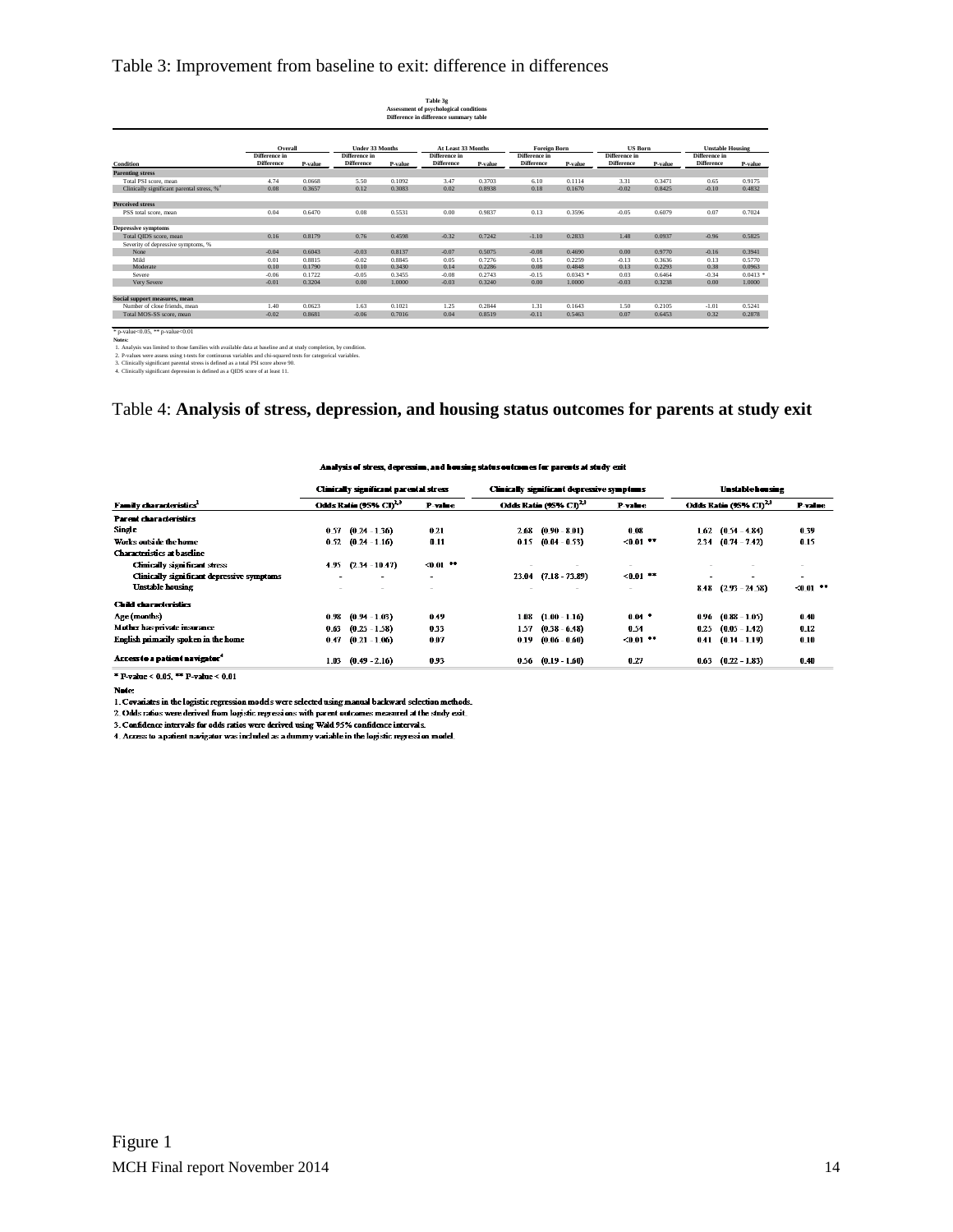## Table 3: Improvement from baseline to exit: difference in differences

| <b>Under 33 Months</b><br>Overall<br>Difference in<br>Difference in<br><b>Difference</b><br>P-value<br><b>Difference</b><br>P-value<br><b>Condition</b><br><b>Parenting stress</b><br>4.74<br>0.0668<br>5.50<br>0.1092<br>Total PSI score, mean<br>Clinically significant parental stress, % <sup>3</sup><br>0.08<br>0.12<br>0.3657<br>0.3083<br><b>Perceived stress</b> |                   | Table 3g<br>Assessment of psychological conditions<br>Difference in difference summary table |                   |                                      |                   |                                 |                   |                                          |  |  |  |
|--------------------------------------------------------------------------------------------------------------------------------------------------------------------------------------------------------------------------------------------------------------------------------------------------------------------------------------------------------------------------|-------------------|----------------------------------------------------------------------------------------------|-------------------|--------------------------------------|-------------------|---------------------------------|-------------------|------------------------------------------|--|--|--|
|                                                                                                                                                                                                                                                                                                                                                                          | Difference in     | At Least 33 Months                                                                           |                   | <b>Foreign Born</b><br>Difference in |                   | <b>US Born</b><br>Difference in |                   | <b>Unstable Housing</b><br>Difference in |  |  |  |
|                                                                                                                                                                                                                                                                                                                                                                          | <b>Difference</b> | P-value                                                                                      | <b>Difference</b> | P-value                              | <b>Difference</b> | P-value                         | <b>Difference</b> | P-value                                  |  |  |  |
|                                                                                                                                                                                                                                                                                                                                                                          |                   |                                                                                              |                   |                                      |                   |                                 |                   |                                          |  |  |  |
|                                                                                                                                                                                                                                                                                                                                                                          | 3.47              | 0.3703                                                                                       | 6.10              | 0.1114                               | 3.31              | 0.3471                          | 0.65              | 0.9175                                   |  |  |  |
|                                                                                                                                                                                                                                                                                                                                                                          | 0.02              | 0.8938                                                                                       | 0.18              | 0.1670                               | $-0.02$           | 0.8425                          | $-0.10$           | 0.4832                                   |  |  |  |
|                                                                                                                                                                                                                                                                                                                                                                          |                   |                                                                                              |                   |                                      |                   |                                 |                   |                                          |  |  |  |
| 0.08<br>0.04<br>0.6470<br>0.5531<br>PSS total score, mean                                                                                                                                                                                                                                                                                                                | 0.00              | 0.9837                                                                                       | 0.13              | 0.3596                               | $-0.05$           | 0.6079                          | 0.07              | 0.7024                                   |  |  |  |
| <b>Depressive symptoms</b>                                                                                                                                                                                                                                                                                                                                               |                   |                                                                                              |                   |                                      |                   |                                 |                   |                                          |  |  |  |
| 0.16<br>0.8179<br>0.76<br>0.4598<br>Total OIDS score, mean                                                                                                                                                                                                                                                                                                               | $-0.32$           | 0.7242                                                                                       | $-1.10$           | 0.2833                               | 1.48              | 0.0937                          | $-0.96$           | 0.5825                                   |  |  |  |
| Severity of depressive symptoms, %                                                                                                                                                                                                                                                                                                                                       |                   |                                                                                              |                   |                                      |                   |                                 |                   |                                          |  |  |  |
| $-0.04$<br>0.6043<br>0.8137<br>None<br>$-0.03$                                                                                                                                                                                                                                                                                                                           | $-0.07$           | 0.5075                                                                                       | $-0.08$           | 0.4690                               | 0.00              | 0.9770                          | $-0.16$           | 0.3941                                   |  |  |  |
| Mild<br>0.8815<br>$-0.02$<br>0.8845<br>0.01                                                                                                                                                                                                                                                                                                                              | 0.05              | 0.7276                                                                                       | 0.15              | 0.2259                               | $-0.13$           | 0.3636                          | 0.13              | 0.5770                                   |  |  |  |
| Moderate<br>0.10<br>0.1790<br>0.10<br>0.3430                                                                                                                                                                                                                                                                                                                             | 0.14              | 0.2286                                                                                       | 0.08              | 0.4848                               | 0.13              | 0.2293                          | 0.38              | 0.0963                                   |  |  |  |
| $-0.06$<br>$-0.05$<br>Severe<br>0.1722<br>0.3455                                                                                                                                                                                                                                                                                                                         | $-0.08$           | 0.2743                                                                                       | $-0.15$           | $0.0343$ *                           | 0.03              | 0.6464                          | $-0.34$           | $0.0413$ *                               |  |  |  |
| 0.3204<br>0.00<br>Very Severe<br>$-0.01$<br>1.0000                                                                                                                                                                                                                                                                                                                       | $-0.03$           | 0.3240                                                                                       | 0.00              | 1.0000                               | $-0.03$           | 0.3238                          | 0.00              | 1.0000                                   |  |  |  |
| Social support measures, mean                                                                                                                                                                                                                                                                                                                                            |                   |                                                                                              |                   |                                      |                   |                                 |                   |                                          |  |  |  |
| 0.0623<br>0.1021<br>Number of close friends, mean<br>1.40<br>1.63                                                                                                                                                                                                                                                                                                        |                   |                                                                                              |                   |                                      |                   |                                 |                   |                                          |  |  |  |
| Total MOS-SS score, mean<br>$-0.02$<br>0.8681<br>$-0.06$<br>0.7016                                                                                                                                                                                                                                                                                                       | 1.25              | 0.2844                                                                                       | 1.31              | 0.1643                               | 1.50              | 0.2105                          | $-1.01$           | 0.5241                                   |  |  |  |

 $^{\circ}$  p-v

Note:<br>1. Analysis was limited to those families with available data at baseline and at study completion, by condition.<br>2. P-values were assess using t-tests for continuous variables and chi-squared tests for categorical va

## Table 4: **Analysis of stress, depression, and housing status outcomes for parents at study exit**

#### Analysis of stress, depression, and housing status outcomes for parents at study exit

| Clinically significant parental stress |  |                                                                                                                                    | Clinically significant depressive symptoms |                 |                                                    | <b>Unstable housing</b>           |             |  |  |  |  |  |
|----------------------------------------|--|------------------------------------------------------------------------------------------------------------------------------------|--------------------------------------------|-----------------|----------------------------------------------------|-----------------------------------|-------------|--|--|--|--|--|
| Odds Ratio (95% $\text{Ch}^{\lambda3}$ |  | P-value                                                                                                                            | Odds Ratio (95% CD <sup>23</sup>           |                 | P-value                                            | Odds Ratio (95% CI) <sup>23</sup> | P-value     |  |  |  |  |  |
|                                        |  |                                                                                                                                    |                                            |                 |                                                    |                                   |             |  |  |  |  |  |
| 0.57                                   |  | 0.21                                                                                                                               | 2.68                                       | $(0.90 - 8.01)$ | 0.08                                               | $(0.54 - 4.84)$<br>1.62           | 0.39        |  |  |  |  |  |
| 0.52                                   |  | 0.11                                                                                                                               | 0.15                                       | $(0.04 - 0.53)$ | $< 0.01$ **                                        | $(0.74 - 7.42)$<br>2.34           | 0.15        |  |  |  |  |  |
|                                        |  |                                                                                                                                    |                                            |                 |                                                    |                                   |             |  |  |  |  |  |
| 4.95                                   |  | $< 0.01$ **                                                                                                                        |                                            |                 | $\sim$                                             |                                   | ÷           |  |  |  |  |  |
|                                        |  | $\sim$                                                                                                                             |                                            |                 | $<0.01$ **                                         |                                   | $\sim$      |  |  |  |  |  |
|                                        |  |                                                                                                                                    |                                            |                 | $\overline{\phantom{a}}$                           | $(2.93 - 24.58)$<br>8.48          | $< 0.01$ ** |  |  |  |  |  |
|                                        |  |                                                                                                                                    |                                            |                 |                                                    |                                   |             |  |  |  |  |  |
| 0 98                                   |  | 049                                                                                                                                | 1.08                                       | $(1.00 - 1.16)$ | $0.04 -$                                           | $(0.88 - 1.05)$<br>0 9 6          | 0.40        |  |  |  |  |  |
| 0.63                                   |  | 0.33                                                                                                                               | 157                                        | $(0.38 - 6.48)$ | 0.54                                               | $(0.05 - 1.42)$<br>0.25           | 0.12        |  |  |  |  |  |
| 0.47                                   |  | 0.07                                                                                                                               | 0.19                                       | $(0.06 - 0.60)$ | $&0.01$ **                                         | $(0.14 - 1.19)$<br>0.41           | 0.10        |  |  |  |  |  |
| 1.03                                   |  | 0.93                                                                                                                               |                                            |                 | 0.27                                               | $(0.22 - 1.83)$<br>0.63           | 0.40        |  |  |  |  |  |
|                                        |  | $(0.24 - 1.36)$<br>$(0.24 - 1.16)$<br>$(2.34 - 10.47)$<br>$(0.94 - 1.03)$<br>$(0.25 - 1.58)$<br>$(0.21 - 1.06)$<br>$(0.49 - 2.16)$ |                                            |                 | $23.04$ $(7.18 - 73.89)$<br>$0.56$ $(0.19 - 1.60)$ |                                   |             |  |  |  |  |  |

\* P-value < 0.05, \*\* P-value < 0.01

Note:

 $1.$  Covariates in the logistic regression models were selected using manual backward selection methods.

2. Odds ratios were derived from logistic regressions with parent outcomes measured at the study exit.

3. Confidence intervals for odds ratios were derived using Wald 95% confidence intervals.

4. Access to a patient navigator was included as a dummy variable in the logistic regression model.